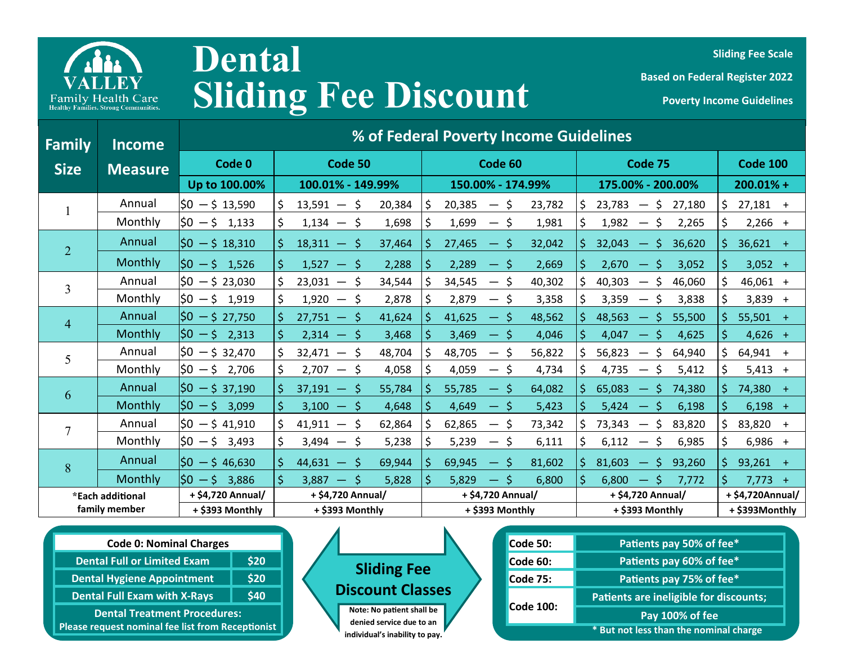

## **Sliding Fee Discount Poverty Income Guidelines Dental**

**Sliding Fee Scale** 

**Based on Federal Register 2022** 

| <b>Family</b>    | <b>Income</b>  | % of Federal Poverty Income Guidelines |                        |                                              |                                                           |                  |  |
|------------------|----------------|----------------------------------------|------------------------|----------------------------------------------|-----------------------------------------------------------|------------------|--|
| <b>Size</b>      | <b>Measure</b> | Code 0                                 | Code 50                | Code 60                                      | Code 75                                                   | <b>Code 100</b>  |  |
|                  |                | Up to 100.00%                          | 100.01% - 149.99%      | 150.00% - 174.99%                            | 175.00% - 200.00%                                         | $200.01% +$      |  |
|                  | Annual         | $ 50 - 5 13,590$                       | 20,384<br>$13,591 - 5$ | 20,385<br>23,782<br>S,<br>$-5$               | 23,783<br>\$<br>27,180<br>\$.<br>$\overline{\phantom{m}}$ | $27,181 +$       |  |
|                  | Monthly        | $ 50 - 5 1,133$                        | $1,134 - 5$<br>1,698   | 1,699<br>1,981<br>$-5$                       | 1,982<br>\$.<br>2,265<br>$\overline{\phantom{m}}$         | $2,266 +$        |  |
| $\overline{2}$   | Annual         | $ 50 - 5 18,310$                       | $18,311 - 5$<br>37,464 | 27,465<br>32,042<br>$-5$                     | 32,043<br>\$<br>36,620<br>—∶                              | $36,621 +$       |  |
|                  | Monthly        | $ 50 - 5 1,526$                        | $1,527 - 5$<br>2,288   | 2,289<br>2,669<br>$-5$                       | 2,670<br>S.<br>3,052<br>$\longrightarrow$                 | $3,052 +$        |  |
| 3                | Annual         | $ 50 - 5 23,030$                       | $23,031 - 5$<br>34,544 | 34,545<br>40,302<br>$-5$                     | 40,303<br>46,060<br>\$<br>$\overline{\phantom{m}}$        | $46,061 +$       |  |
|                  | Monthly        | $ 50 - 5 1,919$                        | $1,920 - 5$<br>2,878   | 2,879<br>3,359<br>\$<br>3,838<br>3,358<br>-S | $3,839 +$                                                 |                  |  |
| $\overline{4}$   | Annual         | $ 50 - $27,750$                        | 41,624<br>$27,751 - 5$ | 41,625<br>48,562<br>— S                      | 48,563<br>55,500<br>- \$                                  | $55,501 +$       |  |
|                  | Monthly        | $ 50 - 5 \t2,313 $                     | $2,314 - 5$<br>3,468   | 3,469<br>4,046<br>$-5$                       | 4,047<br>4,625<br>'S                                      | $4,626 +$        |  |
| 5                | Annual         | $ 50 - 532,470 $                       | $32,471 - 5$<br>48,704 | 48,705<br>56,822<br>-S                       | 56,823<br>64,940<br>S.                                    | $64,941 +$       |  |
|                  | Monthly        | $ 50 - 5 2,706$                        | $2,707 - 5$<br>4,058   | 4,059<br>4,734<br>$-5$                       | \$<br>4,735<br>5,412<br>S<br>$\hspace{0.05cm}$            | $5,413 +$        |  |
| 6                | Annual         | $ 50 - 5 \overline{\smash{37,190}} $   | 55,784<br>$37,191 - 5$ | 55,785<br>64,082<br>— S                      | 65,083<br>-Ŝ<br>74,380                                    | 74,380 +         |  |
|                  | Monthly        | $ 50 - 5 $ 3,099                       | $3,100 - 5$<br>4,648   | 4,649<br>5,423<br>— \$                       | 5,424<br>\$<br>6,198                                      | $6,198 +$        |  |
| 7                | Annual         | $ 50 - 541,910$                        | $41,911 - 5$<br>62,864 | 62,865<br>73,342<br>-S                       | 73,343<br>S.<br>83,820                                    | 83,820 +         |  |
|                  | Monthly        | $ 50 - 5 3,493$                        | $3,494 - 5$<br>5,238   | 5,239<br>\$<br>$-5$<br>6,111                 | \$<br>6,985<br>6,112<br>\$                                | $6,986 +$        |  |
| 8                | Annual         | $ 50 - 546,630 $                       | 69,944<br>$44,631 - 5$ | 69,945<br>81,602<br>\$<br>$-5$               | 81,603<br>$-5$<br>93,260                                  | $93,261 +$       |  |
|                  | Monthly        | $50 - 53,886$                          | $3,887 - 5$<br>5,828   | 5,829<br>\$<br>$-5$<br>6,800                 | 6,800<br>$-5$<br>7,772                                    | $7,773 +$        |  |
| *Each additional |                | + \$4,720 Annual/                      | + \$4,720 Annual/      | + \$4,720 Annual/                            | + \$4,720 Annual/                                         | + \$4,720Annual/ |  |
| family member    |                | + \$393 Monthly                        | + \$393 Monthly        | + \$393 Monthly                              | + \$393 Monthly                                           | + \$393Monthly   |  |

|  | <b>Code 0: Nominal Charges</b>                    |      |  |  |  |
|--|---------------------------------------------------|------|--|--|--|
|  | <b>Dental Full or Limited Exam</b>                | \$20 |  |  |  |
|  | <b>Dental Hygiene Appointment</b>                 | \$20 |  |  |  |
|  | <b>Dental Full Exam with X-Rays</b>               | \$40 |  |  |  |
|  | <b>Dental Treatment Procedures:</b>               |      |  |  |  |
|  | Please request nominal fee list from Receptionist |      |  |  |  |



| Code 50:        | Patients pay 50% of fee*               |  |  |
|-----------------|----------------------------------------|--|--|
| Code 60:        | Patients pay 60% of fee*               |  |  |
| <b>Code 75:</b> | Patients pay 75% of fee*               |  |  |
|                 | Patients are ineligible for discounts; |  |  |
| Code 100:       | Pay 100% of fee                        |  |  |
|                 | * But not less than the nominal charge |  |  |
|                 |                                        |  |  |